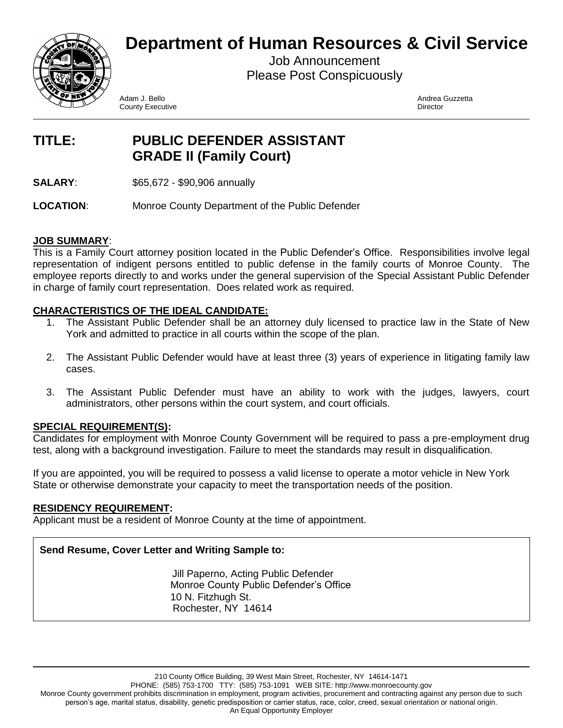**Department of Human Resources & Civil Service**



Job Announcement Please Post Conspicuously

Adam J. Bello Andrea Guzzetta **County Executive Director** Director

# **TITLE: PUBLIC DEFENDER ASSISTANT GRADE II (Family Court)**

**SALARY:** \$65,672 - \$90,906 annually

**LOCATION**: Monroe County Department of the Public Defender

### **JOB SUMMARY**:

This is a Family Court attorney position located in the Public Defender's Office. Responsibilities involve legal representation of indigent persons entitled to public defense in the family courts of Monroe County. The employee reports directly to and works under the general supervision of the Special Assistant Public Defender in charge of family court representation. Does related work as required.

## **CHARACTERISTICS OF THE IDEAL CANDIDATE:**

- 1. The Assistant Public Defender shall be an attorney duly licensed to practice law in the State of New York and admitted to practice in all courts within the scope of the plan.
- 2. The Assistant Public Defender would have at least three (3) years of experience in litigating family law cases.
- 3. The Assistant Public Defender must have an ability to work with the judges, lawyers, court administrators, other persons within the court system, and court officials.

## **SPECIAL REQUIREMENT(S):**

Candidates for employment with Monroe County Government will be required to pass a pre-employment drug test, along with a background investigation. Failure to meet the standards may result in disqualification.

If you are appointed, you will be required to possess a valid license to operate a motor vehicle in New York State or otherwise demonstrate your capacity to meet the transportation needs of the position.

## **RESIDENCY REQUIREMENT:**

Applicant must be a resident of Monroe County at the time of appointment.

## **Send Resume, Cover Letter and Writing Sample to:**

 Jill Paperno, Acting Public Defender Monroe County Public Defender's Office 10 N. Fitzhugh St. Rochester, NY 14614